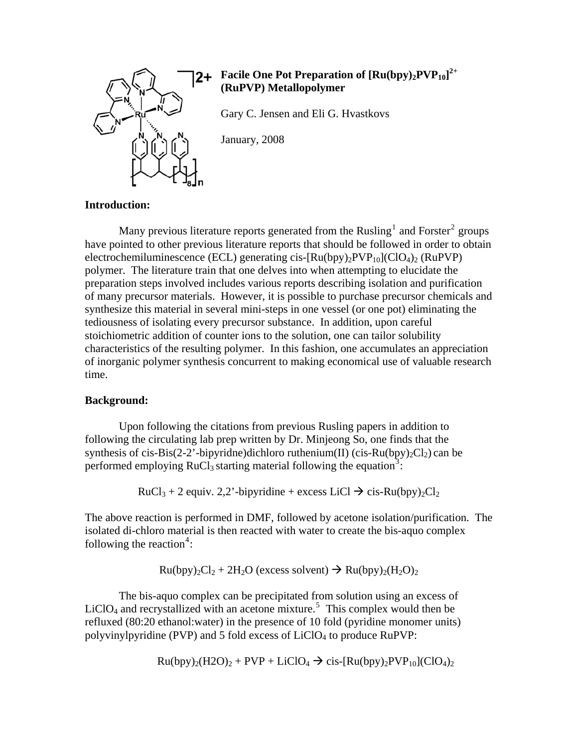

# **Facile One Pot Preparation of [Ru(bpy)2PVP10] 2+ (RuPVP) Metallopolymer**

Gary C. Jensen and Eli G. Hvastkovs

January, 2008

## **Introduction:**

<span id="page-0-1"></span>Many previous literature reports generated from the Rusling<sup>[1](#page-5-0)</sup> and Forster<sup>[2](#page-5-1)</sup> groups have pointed to other previous literature reports that should be followed in order to obtain electrochemiluminescence (ECL) generating cis- $\text{[Ru(bpy)}_2\text{PVP}_{10}\text{]}(\text{ClO}_4)_2$  (RuPVP) polymer. The literature train that one delves into when attempting to elucidate the preparation steps involved includes various reports describing isolation and purification of many precursor materials. However, it is possible to purchase precursor chemicals and synthesize this material in several mini-steps in one vessel (or one pot) eliminating the tediousness of isolating every precursor substance. In addition, upon careful stoichiometric addition of counter ions to the solution, one can tailor solubility characteristics of the resulting polymer. In this fashion, one accumulates an appreciation of inorganic polymer synthesis concurrent to making economical use of valuable research time.

## **Background:**

Upon following the citations from previous Rusling papers in addition to following the circulating lab prep written by Dr. Minjeong So, one finds that the synthesis of cis-Bis(2-2'-bipyridne)dichloro ruthenium(II) (cis-Ru(bpy)<sub>2</sub>Cl<sub>2</sub>) can be performed employing  $RuCl<sub>3</sub>$  $RuCl<sub>3</sub>$  $RuCl<sub>3</sub>$  starting material following the equation<sup>3</sup>:

 $RuCl<sub>3</sub> + 2$  equiv. 2,2'-bipyridine + excess LiCl  $\rightarrow$  cis-Ru(bpy)<sub>2</sub>Cl<sub>2</sub>

<span id="page-0-0"></span>The above reaction is performed in DMF, followed by acetone isolation/purification. The isolated di-chloro material is then reacted with water to create the bis-aquo complex following the reaction<sup>[4](#page-5-1)</sup>:

 $Ru(bpy)<sub>2</sub>Cl<sub>2</sub> + 2H<sub>2</sub>O$  (excess solvent)  $\rightarrow Ru(bpy)<sub>2</sub>(H<sub>2</sub>O)<sub>2</sub>$ 

The bis-aquo complex can be precipitated from solution using an excess of  $LiClO<sub>4</sub>$  and recrystallized with an acetone mixture.<sup>[5](#page-5-1)</sup> This complex would then be refluxed (80:20 ethanol:water) in the presence of 10 fold (pyridine monomer units) polyvinylpyridine (PVP) and 5 fold excess of LiClO<sub>4</sub> to produce RuPVP:

$$
Ru(bpy)_2(H2O)_2 + PVP + LiClO_4 \rightarrow cis-[Ru(bpy)_2 PVP_{10}](ClO_4)_2
$$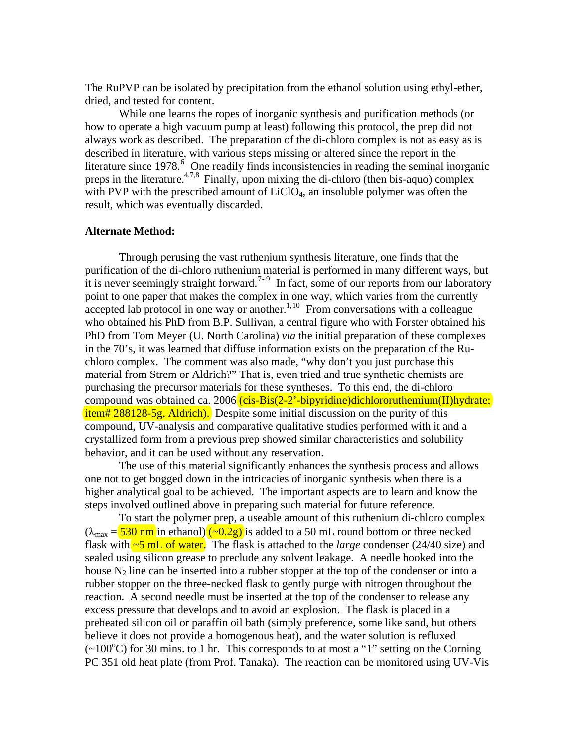The RuPVP can be isolated by precipitation from the ethanol solution using ethyl-ether, dried, and tested for content.

<span id="page-1-1"></span>While one learns the ropes of inorganic synthesis and purification methods (or how to operate a high vacuum pump at least) following this protocol, the prep did not always work as described. The preparation of the di-chloro complex is not as easy as is described in literature, with various steps missing or altered since the report in the literature since 1978.<sup>[6](#page-5-1)</sup> One readily finds inconsistencies in reading the seminal inorganic preps in the literature.<sup>4[,](#page-1-0)[7](#page-1-0),8</sup> Finally, upon mixing the di-chloro (then bis-aquo) complex with PVP with the prescribed amount of  $LiClO<sub>4</sub>$ , an insoluble polymer was often the result, which was eventually discarded.

#### **Alternate Method:**

<span id="page-1-0"></span>Through perusing the vast ruthenium synthesis literature, one finds that the purification of the di-chloro ruthenium material is performed in many different ways, but it is never seemingly straight forward.<sup>[7](#page-5-1)-[9](#page-5-1)</sup> In fact, some of our reports from our laboratory point to one paper that makes the complex in one way, which varies from the currently  $\frac{1}{4}$  accepted lab protocol in one way or another.<sup>1,[10](#page-5-1)</sup> From conversations with a colleague who obtained his PhD from B.P. Sullivan, a central figure who with Forster obtained his PhD from Tom Meyer (U. North Carolina) *via* the initial preparation of these complexes in the 70's, it was learned that diffuse information exists on the preparation of the Ruchloro complex. The comment was also made, "why don't you just purchase this material from Strem or Aldrich?" That is, even tried and true synthetic chemists are purchasing the precursor materials for these syntheses. To this end, the di-chloro compound was obtained ca. 2006 (cis-Bis(2-2'-bipyridine)dichlororuthemium(II)hydrate; item# 288128-5g, Aldrich). Despite some initial discussion on the purity of this compound, UV-analysis and comparative qualitative studies performed with it and a crystallized form from a previous prep showed similar characteristics and solubility behavior, and it can be used without any reservation.

The use of this material significantly enhances the synthesis process and allows one not to get bogged down in the intricacies of inorganic synthesis when there is a higher analytical goal to be achieved. The important aspects are to learn and know the steps involved outlined above in preparing such material for future reference.

To start the polymer prep, a useable amount of this ruthenium di-chloro complex  $(\lambda_{\text{max}} = 530 \text{ nm}$  in ethanol)  $(\sim 0.2g)$  is added to a 50 mL round bottom or three necked flask with ~5 mL of water. The flask is attached to the *large* condenser (24/40 size) and sealed using silicon grease to preclude any solvent leakage. A needle hooked into the house  $N_2$  line can be inserted into a rubber stopper at the top of the condenser or into a rubber stopper on the three-necked flask to gently purge with nitrogen throughout the reaction. A second needle must be inserted at the top of the condenser to release any excess pressure that develops and to avoid an explosion. The flask is placed in a preheated silicon oil or paraffin oil bath (simply preference, some like sand, but others believe it does not provide a homogenous heat), and the water solution is refluxed  $(-100^{\circ}$ C) for 30 mins. to 1 hr. This corresponds to at most a "1" setting on the Corning PC 351 old heat plate (from Prof. Tanaka). The reaction can be monitored using UV-Vis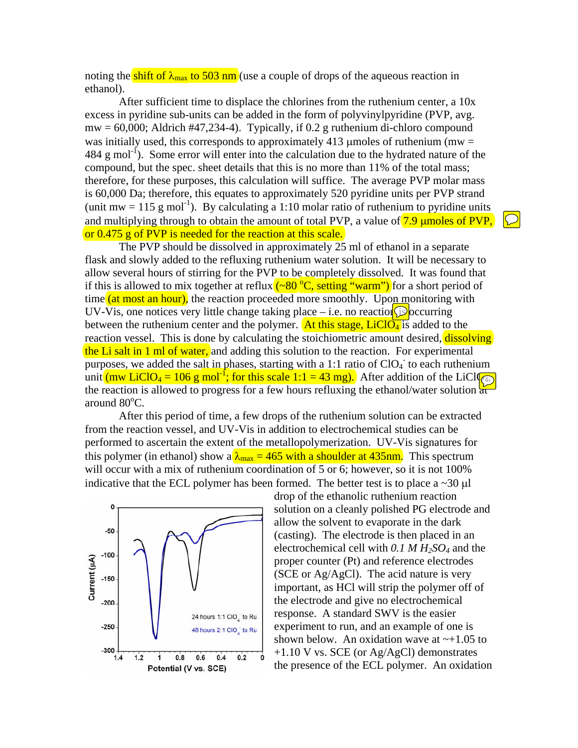noting the shift of  $\lambda_{\text{max}}$  to 503 nm (use a couple of drops of the aqueous reaction in ethanol).

After sufficient time to displace the chlorines from the ruthenium center, a 10x excess in pyridine sub-units can be added in the form of polyvinylpyridine (PVP, avg.  $mw = 60,000$ ; Aldrich #47,234-4). Typically, if 0.2 g ruthenium di-chloro compound was initially used, this corresponds to approximately 413 umoles of ruthenium (mw  $=$  $484 \text{ g mol}^{-1}$ ). Some error will enter into the calculation due to the hydrated nature of the compound, but the spec. sheet details that this is no more than 11% of the total mass; therefore, for these purposes, this calculation will suffice. The average PVP molar mass is 60,000 Da; therefore, this equates to approximately 520 pyridine units per PVP strand (unit mw = 115 g mol<sup>-1</sup>). By calculating a 1:10 molar ratio of ruthenium to pyridine units and multiplying through to obtain the amount of total PVP, a value of  $7.9 \mu$  moles of PVP, or 0.475 g of PVP is needed for the reaction at this scale.

The PVP should be dissolved in approximately 25 ml of ethanol in a separate flask and slowly added to the refluxing ruthenium water solution. It will be necessary to allow several hours of stirring for the PVP to be completely dissolved. It was found that if this is allowed to mix together at reflux  $\left(\sim 80\text{ °C}, \text{setting "warm"}\right)$  for a short period of time (at most an hour), the reaction proceeded more smoothly. Upon monitoring with UV-Vis, one notices very little change taking place – i.e. no reaction  $\circled{S}$  occurring between the ruthenium center and the polymer. At this stage,  $LiClO<sub>4</sub>$  is added to the reaction vessel. This is done by calculating the stoichiometric amount desired, dissolving the Li salt in 1 ml of water, and adding this solution to the reaction. For experimental purposes, we added the salt in phases, starting with a 1:1 ratio of  $ClO<sub>4</sub>$  to each ruthenium unit  $(mw \text{LiClO}_4 = 106 \text{ g mol}^{-1}$ ; for this scale 1:1 = 43 mg). After addition of the LiCl $\sqrt{4}$ the reaction is allowed to progress for a few hours refluxing the ethanol/water solution  $\frac{1}{d}$ around 80°C.

After this period of time, a few drops of the ruthenium solution can be extracted from the reaction vessel, and UV-Vis in addition to electrochemical studies can be performed to ascertain the extent of the metallopolymerization. UV-Vis signatures for this polymer (in ethanol) show a  $\lambda_{\text{max}} = 465$  with a shoulder at 435nm. This spectrum will occur with a mix of ruthenium coordination of 5 or 6; however, so it is not 100% indicative that the ECL polymer has been formed. The better test is to place a  $\sim$ 30  $\mu$ l



drop of the ethanolic ruthenium reaction solution on a cleanly polished PG electrode and allow the solvent to evaporate in the dark (casting). The electrode is then placed in an electrochemical cell with *0.1 M H2SO4* and the proper counter (Pt) and reference electrodes (SCE or Ag/AgCl). The acid nature is very important, as HCl will strip the polymer off of the electrode and give no electrochemical response. A standard SWV is the easier experiment to run, and an example of one is shown below. An oxidation wave at  $\sim$ +1.05 to +1.10 V vs. SCE (or Ag/AgCl) demonstrates the presence of the ECL polymer. An oxidation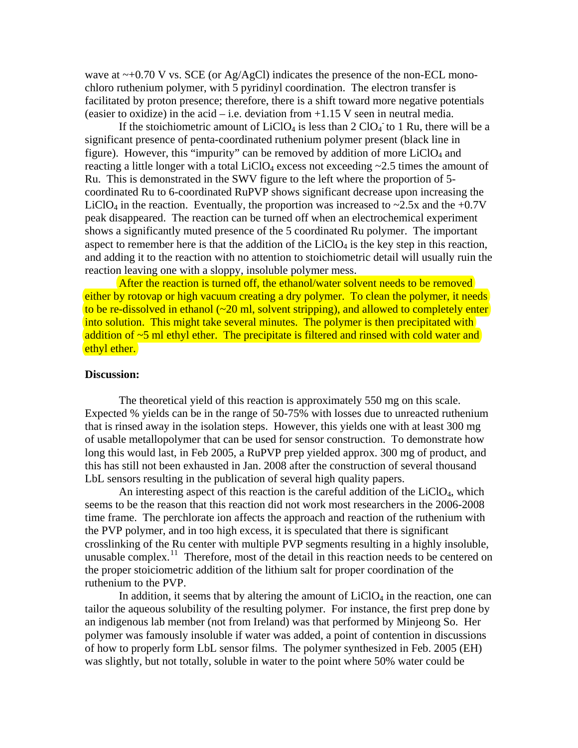wave at  $\sim$ +0.70 V vs. SCE (or Ag/AgCl) indicates the presence of the non-ECL monochloro ruthenium polymer, with 5 pyridinyl coordination. The electron transfer is facilitated by proton presence; therefore, there is a shift toward more negative potentials (easier to oxidize) in the acid – i.e. deviation from  $+1.15$  V seen in neutral media.

If the stoichiometric amount of  $LiClO<sub>4</sub>$  is less than 2  $ClO<sub>4</sub>$  to 1 Ru, there will be a significant presence of penta-coordinated ruthenium polymer present (black line in figure). However, this "impurity" can be removed by addition of more  $LiClO<sub>4</sub>$  and reacting a little longer with a total  $LiClO<sub>4</sub>$  excess not exceeding  $\sim$ 2.5 times the amount of Ru. This is demonstrated in the SWV figure to the left where the proportion of 5 coordinated Ru to 6-coordinated RuPVP shows significant decrease upon increasing the LiClO<sub>4</sub> in the reaction. Eventually, the proportion was increased to  $\sim$ 2.5x and the +0.7V peak disappeared. The reaction can be turned off when an electrochemical experiment shows a significantly muted presence of the 5 coordinated Ru polymer. The important aspect to remember here is that the addition of the  $LiClO<sub>4</sub>$  is the key step in this reaction, and adding it to the reaction with no attention to stoichiometric detail will usually ruin the reaction leaving one with a sloppy, insoluble polymer mess.

After the reaction is turned off, the ethanol/water solvent needs to be removed either by rotovap or high vacuum creating a dry polymer. To clean the polymer, it needs to be re-dissolved in ethanol (~20 ml, solvent stripping), and allowed to completely enter into solution. This might take several minutes. The polymer is then precipitated with addition of  $\sim$ 5 ml ethyl ether. The precipitate is filtered and rinsed with cold water and ethyl ether.

### **Discussion:**

 The theoretical yield of this reaction is approximately 550 mg on this scale. Expected % yields can be in the range of 50-75% with losses due to unreacted ruthenium that is rinsed away in the isolation steps. However, this yields one with at least 300 mg of usable metallopolymer that can be used for sensor construction. To demonstrate how long this would last, in Feb 2005, a RuPVP prep yielded approx. 300 mg of product, and this has still not been exhausted in Jan. 2008 after the construction of several thousand LbL sensors resulting in the publication of several high quality papers.

An interesting aspect of this reaction is the careful addition of the  $LiClO<sub>4</sub>$ , which seems to be the reason that this reaction did not work most researchers in the 2006-2008 time frame. The perchlorate ion affects the approach and reaction of the ruthenium with the PVP polymer, and in too high excess, it is speculated that there is significant crosslinking of the Ru center with multiple PVP segments resulting in a highly insoluble, unusable complex.<sup>[11](#page-5-1)</sup> Therefore, most of the detail in this reaction needs to be centered on the proper stoiciometric addition of the lithium salt for proper coordination of the ruthenium to the PVP.

<span id="page-3-0"></span>In addition, it seems that by altering the amount of  $LiClO<sub>4</sub>$  in the reaction, one can tailor the aqueous solubility of the resulting polymer. For instance, the first prep done by an indigenous lab member (not from Ireland) was that performed by Minjeong So. Her polymer was famously insoluble if water was added, a point of contention in discussions of how to properly form LbL sensor films. The polymer synthesized in Feb. 2005 (EH) was slightly, but not totally, soluble in water to the point where 50% water could be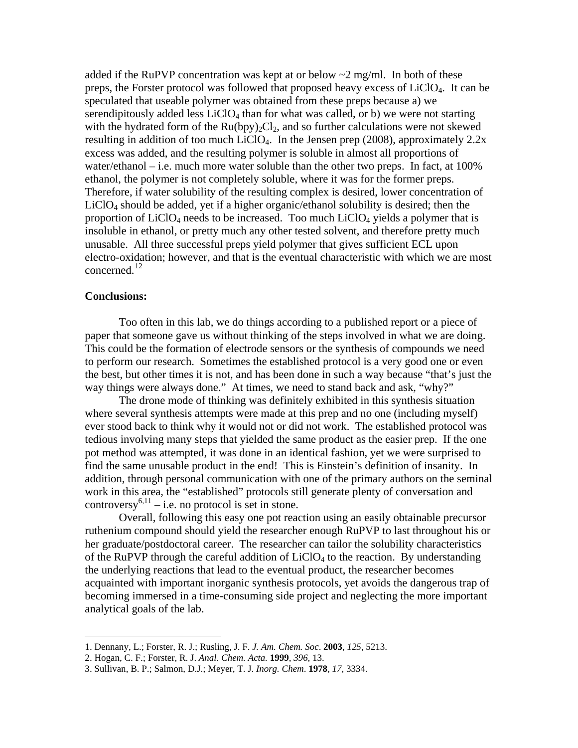added if the RuPVP concentration was kept at or below  $\sim$ 2 mg/ml. In both of these preps, the Forster protocol was followed that proposed heavy excess of LiClO4. It can be speculated that useable polymer was obtained from these preps because a) we serendipitously added less  $LiClO<sub>4</sub>$  than for what was called, or b) we were not starting with the hydrated form of the  $Ru(bpy)_2Cl_2$ , and so further calculations were not skewed resulting in addition of too much LiClO4. In the Jensen prep (2008), approximately 2.2x excess was added, and the resulting polymer is soluble in almost all proportions of water/ethanol – i.e. much more water soluble than the other two preps. In fact, at 100% ethanol, the polymer is not completely soluble, where it was for the former preps. Therefore, if water solubility of the resulting complex is desired, lower concentration of  $LiClO<sub>4</sub>$  should be added, yet if a higher organic/ethanol solubility is desired; then the proportion of  $LiClO<sub>4</sub>$  needs to be increased. Too much  $LiClO<sub>4</sub>$  yields a polymer that is insoluble in ethanol, or pretty much any other tested solvent, and therefore pretty much unusable. All three successful preps yield polymer that gives sufficient ECL upon electro-oxidation; however, and that is the eventual characteristic with which we are most concerned.<sup>[12](#page-5-1)</sup>

#### **Conclusions:**

 $\overline{a}$ 

 Too often in this lab, we do things according to a published report or a piece of paper that someone gave us without thinking of the steps involved in what we are doing. This could be the formation of electrode sensors or the synthesis of compounds we need to perform our research. Sometimes the established protocol is a very good one or even the best, but other times it is not, and has been done in such a way because "that's just the way things were always done." At times, we need to stand back and ask, "why?"

 The drone mode of thinking was definitely exhibited in this synthesis situation where several synthesis attempts were made at this prep and no one (including myself) ever stood back to think why it would not or did not work. The established protocol was tedious involving many steps that yielded the same product as the easier prep. If the one pot method was attempted, it was done in an identical fashion, yet we were surprised to find the same unusable product in the end! This is Einstein's definition of insanity. In addition, through personal communication with one of the primary authors on the seminal work in this area, the "established" protocols still generate plenty of conversation and controversy<sup>[6,](#page-1-1)11</sup> – i.e. no protocol is set in stone.

 Overall, following this easy one pot reaction using an easily obtainable precursor ruthenium compound should yield the researcher enough RuPVP to last throughout his or her graduate/postdoctoral career. The researcher can tailor the solubility characteristics of the RuPVP through the careful addition of  $LiClO<sub>4</sub>$  to the reaction. By understanding the underlying reactions that lead to the eventual product, the researcher becomes acquainted with important inorganic synthesis protocols, yet avoids the dangerous trap of becoming immersed in a time-consuming side project and neglecting the more important analytical goals of the lab.

<sup>1.</sup> Dennany, L.; Forster, R. J.; Rusling, J. F. *J. Am. Chem. Soc*. **2003**, *125*, 5213.

<sup>2.</sup> Hogan, C. F.; Forster, R. J. *Anal. Chem. Acta.* **1999**, *396*, 13.

<sup>3.</sup> Sullivan, B. P.; Salmon, D.J.; Meyer, T. J. *Inorg. Chem*. **1978**, *17*, 3334.